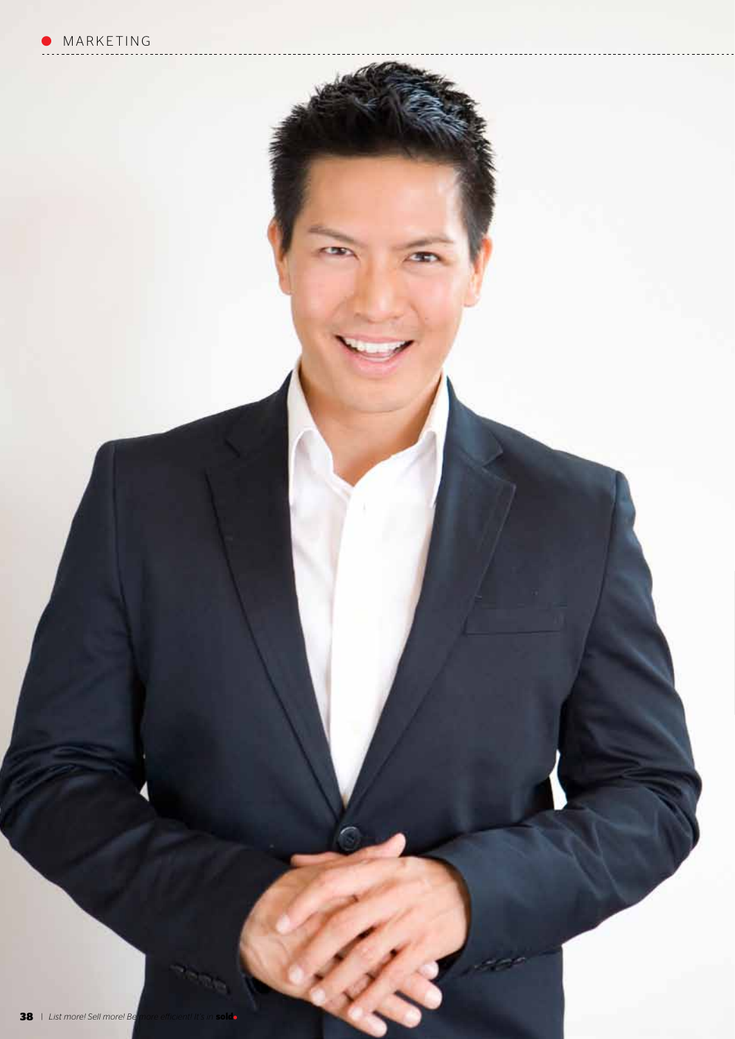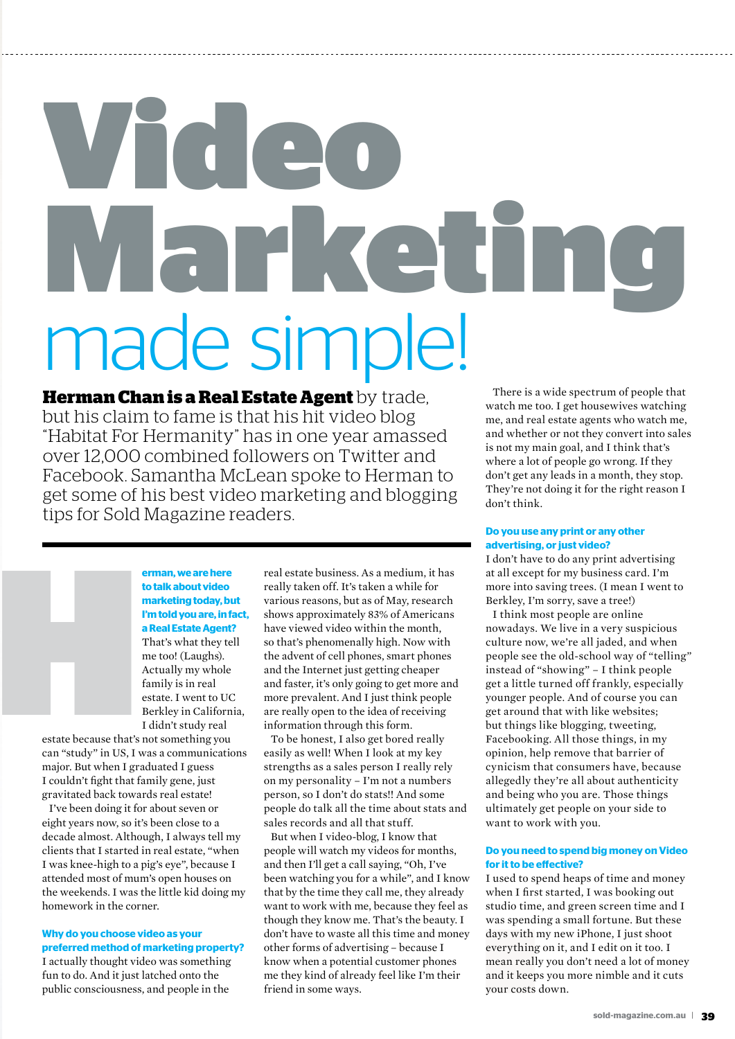# Video Marketing made simple!

**Herman Chan is a Real Estate Agent** by trade, but his claim to fame is that his hit video blog "Habitat For Hermanity" has in one year amassed over 12,000 combined followers on Twitter and Facebook. Samantha McLean spoke to Herman to get some of his best video marketing and blogging tips for Sold Magazine readers.

> **erman, we are here to talk about video marketing today, but I'm told you are, in fact, a Real Estate Agent?** That's what they tell me too! (Laughs). Actually my whole family is in real estate. I went to UC Berkley in California, I didn't study real

estate because that's not something you can "study" in US, I was a communications major. But when I graduated I guess I couldn't fight that family gene, just gravitated back towards real estate! estate because that's<br>estate because that's<br>can "study" in US, I

> I've been doing it for about seven or eight years now, so it's been close to a decade almost. Although, I always tell my clients that I started in real estate, "when I was knee-high to a pig's eye", because I attended most of mum's open houses on the weekends. I was the little kid doing my homework in the corner.

# **Why do you choose video as your preferred method of marketing property?**

I actually thought video was something fun to do. And it just latched onto the public consciousness, and people in the

real estate business. As a medium, it has really taken off. It's taken a while for various reasons, but as of May, research shows approximately 83% of Americans have viewed video within the month, so that's phenomenally high. Now with the advent of cell phones, smart phones and the Internet just getting cheaper and faster, it's only going to get more and more prevalent. And I just think people are really open to the idea of receiving information through this form.

To be honest, I also get bored really easily as well! When I look at my key strengths as a sales person I really rely on my personality – I'm not a numbers person, so I don't do stats!! And some people do talk all the time about stats and sales records and all that stuff.

But when I video-blog, I know that people will watch my videos for months, and then I'll get a call saying, "Oh, I've been watching you for a while", and I know that by the time they call me, they already want to work with me, because they feel as though they know me. That's the beauty. I don't have to waste all this time and money other forms of advertising – because I know when a potential customer phones me they kind of already feel like I'm their friend in some ways.

There is a wide spectrum of people that watch me too. I get housewives watching me, and real estate agents who watch me, and whether or not they convert into sales is not my main goal, and I think that's where a lot of people go wrong. If they don't get any leads in a month, they stop. They're not doing it for the right reason I don't think.

# **Do you use any print or any other advertising, or just video?**

I don't have to do any print advertising at all except for my business card. I'm more into saving trees. (I mean I went to Berkley, I'm sorry, save a tree!)

I think most people are online nowadays. We live in a very suspicious culture now, we're all jaded, and when people see the old-school way of "telling" instead of "showing" – I think people get a little turned off frankly, especially younger people. And of course you can get around that with like websites; but things like blogging, tweeting, Facebooking. All those things, in my opinion, help remove that barrier of cynicism that consumers have, because allegedly they're all about authenticity and being who you are. Those things ultimately get people on your side to want to work with you.

# **Do you need to spend big money on Video for it to be effective?**

I used to spend heaps of time and money when I first started, I was booking out studio time, and green screen time and I was spending a small fortune. But these days with my new iPhone, I just shoot everything on it, and I edit on it too. I mean really you don't need a lot of money and it keeps you more nimble and it cuts your costs down.